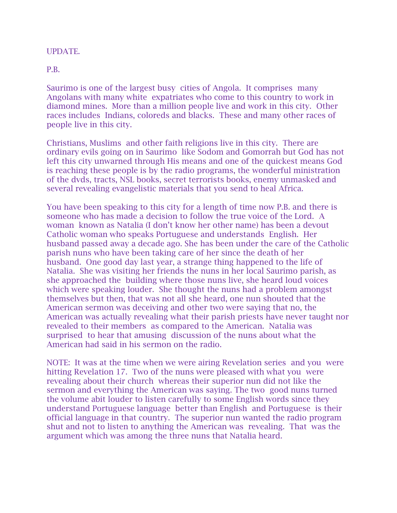## UPDATE.

P.B.

Saurimo is one of the largest busy cities of Angola. It comprises many Angolans with many white expatriates who come to this country to work in diamond mines. More than a million people live and work in this city. Other races includes Indians, coloreds and blacks. These and many other races of people live in this city.

Christians, Muslims and other faith religions live in this city. There are ordinary evils going on in Saurimo like Sodom and Gomorrah but God has not left this city unwarned through His means and one of the quickest means God is reaching these people is by the radio programs, the wonderful ministration of the dvds, tracts, NSL books, secret terrorists books, enemy unmasked and several revealing evangelistic materials that you send to heal Africa.

You have been speaking to this city for a length of time now P.B. and there is someone who has made a decision to follow the true voice of the Lord. A woman known as Natalia (I don't know her other name) has been a devout Catholic woman who speaks Portuguese and understands English. Her husband passed away a decade ago. She has been under the care of the Catholic parish nuns who have been taking care of her since the death of her husband. One good day last year, a strange thing happened to the life of Natalia. She was visiting her friends the nuns in her local Saurimo parish, as she approached the building where those nuns live, she heard loud voices which were speaking louder. She thought the nuns had a problem amongst themselves but then, that was not all she heard, one nun shouted that the American sermon was deceiving and other two were saying that no, the American was actually revealing what their parish priests have never taught nor revealed to their members as compared to the American. Natalia was surprised to hear that amusing discussion of the nuns about what the American had said in his sermon on the radio.

NOTE: It was at the time when we were airing Revelation series and you were hitting Revelation 17. Two of the nuns were pleased with what you were revealing about their church whereas their superior nun did not like the sermon and everything the American was saying. The two good nuns turned the volume abit louder to listen carefully to some English words since they understand Portuguese language better than English and Portuguese is their official language in that country. The superior nun wanted the radio program shut and not to listen to anything the American was revealing. That was the argument which was among the three nuns that Natalia heard.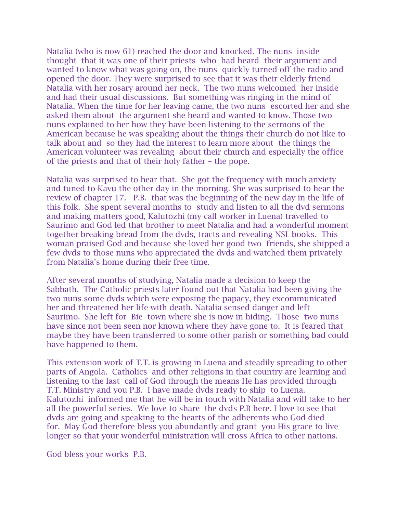Natalia (who is now 61) reached the door and knocked. The nuns inside thought that it was one of their priests who had heard their argument and wanted to know what was going on, the nuns quickly turned off the radio and opened the door. They were surprised to see that it was their elderly friend Natalia with her rosary around her neck. The two nuns welcomed her inside and had their usual discussions. But something was ringing in the mind of Natalia. When the time for her leaving came, the two nuns escorted her and she asked them about the argument she heard and wanted to know. Those two nuns explained to her how they have been listening to the sermons of the American because he was speaking about the things their church do not like to talk about and so they had the interest to learn more about the things the American volunteer was revealing about their church and especially the office of the priests and that of their holy father – the pope.

Natalia was surprised to hear that. She got the frequency with much anxiety and tuned to Kavu the other day in the morning. She was surprised to hear the review of chapter 17. P.B. that was the beginning of the new day in the life of this folk. She spent several months to study and listen to all the dvd sermons and making matters good, Kalutozhi (my call worker in Luena) travelled to Saurimo and God led that brother to meet Natalia and had a wonderful moment together breaking bread from the dvds, tracts and revealing NSL books. This woman praised God and because she loved her good two friends, she shipped a few dvds to those nuns who appreciated the dvds and watched them privately from Natalia's home during their free time.

After several months of studying, Natalia made a decision to keep the Sabbath. The Catholic priests later found out that Natalia had been giving the two nuns some dvds which were exposing the papacy, they excommunicated her and threatened her life with death. Natalia sensed danger and left Saurimo. She left for Bie town where she is now in hiding. Those two nuns have since not been seen nor known where they have gone to. It is feared that maybe they have been transferred to some other parish or something bad could have happened to them.

This extension work of T.T. is growing in Luena and steadily spreading to other parts of Angola. Catholics and other religions in that country are learning and listening to the last call of God through the means He has provided through T.T. Ministry and you P.B. I have made dvds ready to ship to Luena. Kalutozhi informed me that he will be in touch with Natalia and will take to her all the powerful series. We love to share the dvds P.B here. I love to see that dvds are going and speaking to the hearts of the adherents who God died for. May God therefore bless you abundantly and grant you His grace to live longer so that your wonderful ministration will cross Africa to other nations.

God bless your works P.B.